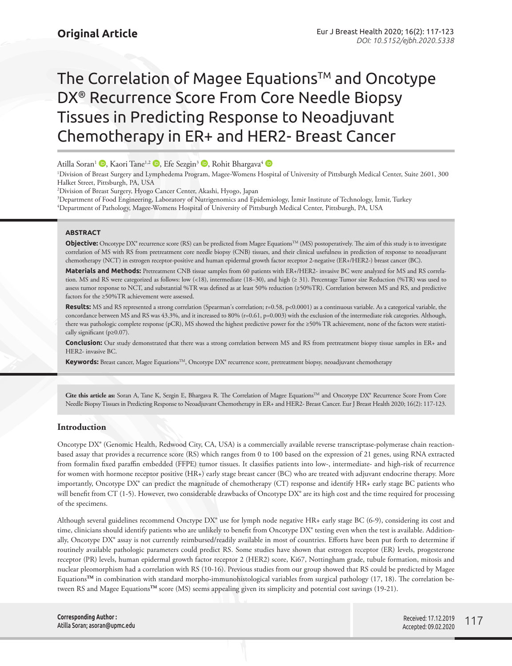# The Correlation of Magee Equations™ and Oncotype DX® Recurrence Score From Core Needle Biopsy Tissues in Predicting Response to Neoadjuvant Chemotherapy in ER+ and HER2- Breast Cancer

Atilla Soran<sup>1</sup> **D**[,](http://orcid.org/0000-0003-0270-1989) Kaori Tane<sup>1,2</sup> D[,](http://orcid.org/0000-0002-8000-7485) Efe Sezgin<sup>3</sup> D, Rohit Bhargava<sup>4</sup> D

1 Division of Breast Surgery and Lymphedema Program, Magee-Womens Hospital of University of Pittsburgh Medical Center, Suite 2601, 300 Halket Street, Pittsburgh, PA, USA

2 Division of Breast Surgery, Hyogo Cancer Center, Akashi, Hyogo, Japan

3 Department of Food Engineering, Laboratory of Nutrigenomics and Epidemiology, İzmir Institute of Technology, İzmir, Turkey 4 Department of Pathology, Magee-Womens Hospital of University of Pittsburgh Medical Center, Pittsburgh, PA, USA

# **ABSTRACT**

**Objective:** Oncotype DX<sup>®</sup> recurrence score (RS) can be predicted from Magee Equations<sup>™</sup> (MS) postoperatively. The aim of this study is to investigate correlation of MS with RS from pretreatment core needle biopsy (CNB) tissues, and their clinical usefulness in prediction of response to neoadjuvant chemotherapy (NCT) in estrogen receptor-positive and human epidermal growth factor receptor 2-negative (ER+/HER2-) breast cancer (BC).

**Materials and Methods:** Pretreatment CNB tissue samples from 60 patients with ER+/HER2- invasive BC were analyzed for MS and RS correlation. MS and RS were categorized as follows: low (<18), intermediate (18–30), and high (≥ 31). Percentage Tumor size Reduction (%TR) was used to assess tumor response to NCT, and substantial %TR was defined as at least 50% reduction (≥50%TR). Correlation between MS and RS, and predictive factors for the ≥50%TR achievement were assessed.

Results: MS and RS represented a strong correlation (Spearman's correlation; r=0.58, p<0.0001) as a continuous variable. As a categorical variable, the concordance between MS and RS was 43.3%, and it increased to 80% (r=0.61, p=0.003) with the exclusion of the intermediate risk categories. Although, there was pathologic complete response (pCR), MS showed the highest predictive power for the ≥50% TR achievement, none of the factors were statistically significant (p≥0.07).

**Conclusion:** Our study demonstrated that there was a strong correlation between MS and RS from pretreatment biopsy tissue samples in ER+ and HER2- invasive BC.

**Keywords:** Breast cancer, Magee EquationsTM, Oncotype DX® recurrence score, pretreatment biopsy, neoadjuvant chemotherapy

Cite this article as: Soran A, Tane K, Sezgin E, Bhargava R. The Correlation of Magee Equations<sup>TM</sup> and Oncotype DX<sup>®</sup> Recurrence Score From Core Needle Biopsy Tissues in Predicting Response to Neoadjuvant Chemotherapy in ER+ and HER2- Breast Cancer. Eur J Breast Health 2020; 16(2): 117-123.

# **Introduction**

Oncotype DX® (Genomic Health, Redwood City, CA, USA) is a commercially available reverse transcriptase-polymerase chain reactionbased assay that provides a recurrence score (RS) which ranges from 0 to 100 based on the expression of 21 genes, using RNA extracted from formalin fixed paraffin embedded (FFPE) tumor tissues. It classifies patients into low-, intermediate- and high-risk of recurrence for women with hormone receptor positive (HR+) early stage breast cancer (BC) who are treated with adjuvant endocrine therapy. More importantly, Oncotype DX® can predict the magnitude of chemotherapy (CT) response and identify HR+ early stage BC patients who will benefit from CT (1-5). However, two considerable drawbacks of Oncotype DX<sup>®</sup> are its high cost and the time required for processing of the specimens.

Although several guidelines recommend Onctype DX® use for lymph node negative HR+ early stage BC (6-9), considering its cost and time, clinicians should identify patients who are unlikely to benefit from Oncotype DX® testing even when the test is available. Additionally, Oncotype DX® assay is not currently reimbursed/readily available in most of countries. Efforts have been put forth to determine if routinely available pathologic parameters could predict RS. Some studies have shown that estrogen receptor (ER) levels, progesterone receptor (PR) levels, human epidermal growth factor receptor 2 (HER2) score, Ki67, Nottingham grade, tubule formation, mitosis and nuclear pleomorphism had a correlation with RS (10-16). Previous studies from our group showed that RS could be predicted by Magee Equations**TM** in combination with standard morpho-immunohistological variables from surgical pathology (17, 18). The correlation between RS and Magee Equations**TM** score (MS) seems appealing given its simplicity and potential cost savings (19-21).

**Corresponding Author :**  Atilla Soran; asoran@upmc.edu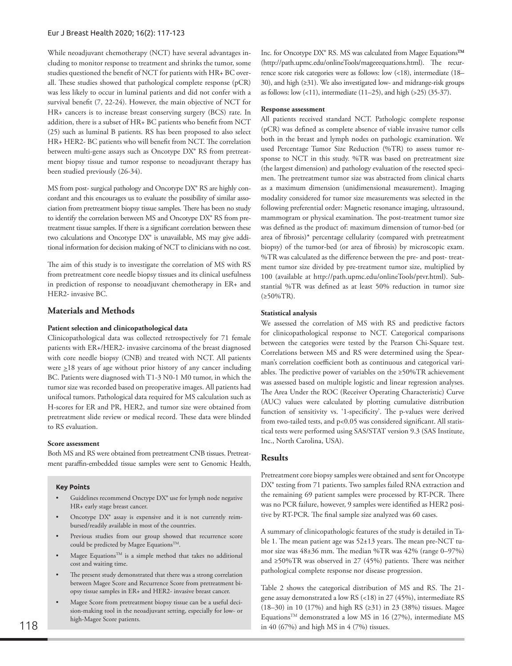While neoadjuvant chemotherapy (NCT) have several advantages including to monitor response to treatment and shrinks the tumor, some studies questioned the benefit of NCT for patients with HR+ BC overall. These studies showed that pathological complete response (pCR) was less likely to occur in luminal patients and did not confer with a survival benefit (7, 22-24). However, the main objective of NCT for HR+ cancers is to increase breast conserving surgery (BCS) rate. In addition, there is a subset of HR+ BC patients who benefit from NCT (25) such as luminal B patients. RS has been proposed to also select HR+ HER2- BC patients who will benefit from NCT. The correlation between multi-gene assays such as Oncotype DX® RS from pretreatment biopsy tissue and tumor response to neoadjuvant therapy has been studied previously (26-34).

MS from post- surgical pathology and Oncotype DX® RS are highly concordant and this encourages us to evaluate the possibility of similar association from pretreatment biopsy tissue samples. There has been no study to identify the correlation between MS and Oncotype DX® RS from pretreatment tissue samples. If there is a significant correlation between these two calculations and Oncotype DX® is unavailable, MS may give additional information for decision making of NCT to clinicians with no cost.

The aim of this study is to investigate the correlation of MS with RS from pretreatment core needle biopsy tissues and its clinical usefulness in prediction of response to neoadjuvant chemotherapy in ER+ and HER2- invasive BC.

# **Materials and Methods**

#### **Patient selection and clinicopathological data**

Clinicopathological data was collected retrospectively for 71 female patients with ER+/HER2- invasive carcinoma of the breast diagnosed with core needle biopsy (CNB) and treated with NCT. All patients were  $\geq$ 18 years of age without prior history of any cancer including BC. Patients were diagnosed with T1-3 N0-1 M0 tumor, in which the tumor size was recorded based on preoperative images. All patients had unifocal tumors. Pathological data required for MS calculation such as H-scores for ER and PR, HER2, and tumor size were obtained from pretreatment slide review or medical record. These data were blinded to RS evaluation.

## **Score assessment**

Both MS and RS were obtained from pretreatment CNB tissues. Pretreatment paraffin-embedded tissue samples were sent to Genomic Health,

### **Key Points**

- Guidelines recommend Onctype DX® use for lymph node negative HR+ early stage breast cancer.
- Oncotype DX® assay is expensive and it is not currently reimbursed/readily available in most of the countries.
- Previous studies from our group showed that recurrence score could be predicted by Magee Equations  $^{\mbox{{\tiny TM}}}.$
- Magee Equations<sup>TM</sup> is a simple method that takes no additional cost and waiting time.
- The present study demonstrated that there was a strong correlation between Magee Score and Recurrence Score from pretreatment biopsy tissue samples in ER+ and HER2- invasive breast cancer.
- Magee Score from pretreatment biopsy tissue can be a useful decision-making tool in the neoadjuvant setting, especially for low- or high-Magee Score patients.

Inc. for Oncotype DX® RS. MS was calculated from Magee Equations**TM**  (http://path.upmc.edu/onlineTools/mageeequations.html). The recurrence score risk categories were as follows: low (<18), intermediate (18– 30), and high (≥31). We also investigated low- and midrange-risk groups as follows: low (<11), intermediate (11–25), and high (>25) (35-37).

#### **Response assessment**

All patients received standard NCT. Pathologic complete response (pCR) was defined as complete absence of viable invasive tumor cells both in the breast and lymph nodes on pathologic examination. We used Percentage Tumor Size Reduction (%TR) to assess tumor response to NCT in this study. %TR was based on pretreatment size (the largest dimension) and pathology evaluation of the resected specimen. The pretreatment tumor size was abstracted from clinical charts as a maximum dimension (unidimensional measurement). Imaging modality considered for tumor size measurements was selected in the following preferential order: Magnetic resonance imaging, ultrasound, mammogram or physical examination. The post-treatment tumor size was defined as the product of: maximum dimension of tumor-bed (or area of fibrosis)\* percentage cellularity (compared with pretreatment biopsy) of the tumor-bed (or area of fibrosis) by microscopic exam. %TR was calculated as the difference between the pre- and post- treatment tumor size divided by pre-treatment tumor size, multiplied by 100 (available at http://path.upmc.edu/onlineTools/ptvr.html). Substantial %TR was defined as at least 50% reduction in tumor size (≥50%TR).

#### **Statistical analysis**

We assessed the correlation of MS with RS and predictive factors for clinicopathological response to NCT. Categorical comparisons between the categories were tested by the Pearson Chi-Square test. Correlations between MS and RS were determined using the Spearman's correlation coefficient both as continuous and categorical variables. The predictive power of variables on the ≥50%TR achievement was assessed based on multiple logistic and linear regression analyses. The Area Under the ROC (Receiver Operating Characteristic) Curve (AUC) values were calculated by plotting cumulative distribution function of sensitivity vs. '1-specificity'. The p-values were derived from two-tailed tests, and p<0.05 was considered significant. All statistical tests were performed using SAS/STAT version 9.3 (SAS Institute, Inc., North Carolina, USA).

#### **Results**

Pretreatment core biopsy samples were obtained and sent for Oncotype DX<sup>®</sup> testing from 71 patients. Two samples failed RNA extraction and the remaining 69 patient samples were processed by RT-PCR. There was no PCR failure, however, 9 samples were identified as HER2 positive by RT-PCR. The final sample size analyzed was 60 cases.

A summary of clinicopathologic features of the study is detailed in Table 1. The mean patient age was  $52\pm13$  years. The mean pre-NCT tumor size was 48±36 mm. The median %TR was 42% (range 0–97%) and ≥50%TR was observed in 27 (45%) patients. There was neither pathological complete response nor disease progression.

Table 2 shows the categorical distribution of MS and RS. The 21 gene assay demonstrated a low RS (<18) in 27 (45%), intermediate RS (18–30) in 10 (17%) and high RS (≥31) in 23 (38%) tissues. Magee Equations<sup>TM</sup> demonstrated a low MS in 16 (27%), intermediate MS in 40 (67%) and high MS in 4 (7%) tissues.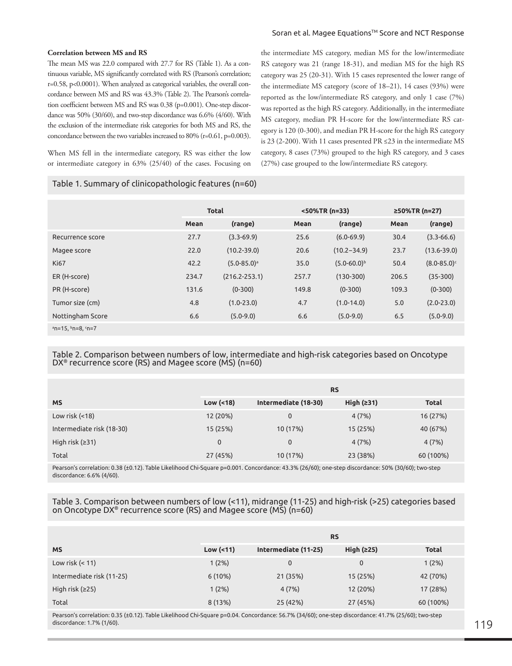#### Soran et al. Magee Equations™ Score and NCT Response

the intermediate MS category, median MS for the low/intermediate RS category was 21 (range 18-31), and median MS for the high RS category was 25 (20-31). With 15 cases represented the lower range of the intermediate MS category (score of 18–21), 14 cases (93%) were reported as the low/intermediate RS category, and only 1 case (7%) was reported as the high RS category. Additionally, in the intermediate MS category, median PR H-score for the low/intermediate RS category is 120 (0-300), and median PR H-score for the high RS category is 23 (2-200). With 11 cases presented PR ≤23 in the intermediate MS category, 8 cases (73%) grouped to the high RS category, and 3 cases

(27%) case grouped to the low/intermediate RS category.

#### **Correlation between MS and RS**

The mean MS was 22.0 compared with 27.7 for RS (Table 1). As a continuous variable, MS significantly correlated with RS (Pearson's correlation; r=0.58, p<0.0001). When analyzed as categorical variables, the overall concordance between MS and RS was 43.3% (Table 2). The Pearson's correlation coefficient between MS and RS was 0.38 (p=0.001). One-step discordance was 50% (30/60), and two-step discordance was 6.6% (4/60). With the exclusion of the intermediate risk categories for both MS and RS, the concordance between the two variables increased to 80% (r=0.61, p=0.003).

When MS fell in the intermediate category, RS was either the low or intermediate category in 63% (25/40) of the cases. Focusing on

Table 1. Summary of clinicopathologic features (n=60)

|                        | <b>Total</b> |                             |       | <50%TR (n=33)      | ≥50%TR (n=27) |                             |
|------------------------|--------------|-----------------------------|-------|--------------------|---------------|-----------------------------|
|                        | Mean         | (range)                     | Mean  | (range)            | Mean          | (range)                     |
| Recurrence score       | 27.7         | $(3.3 - 69.9)$              | 25.6  | $(6.0 - 69.9)$     | 30.4          | $(3.3 - 66.6)$              |
| Magee score            | 22.0         | $(10.2 - 39.0)$             | 20.6  | $(10.2 - 34.9)$    | 23.7          | $(13.6 - 39.0)$             |
| <b>Ki67</b>            | 42.2         | $(5.0 - 85.0)$ <sup>a</sup> | 35.0  | $(5.0 - 60.0)^{b}$ | 50.4          | $(8.0 - 85.0)$ <sup>c</sup> |
| ER (H-score)           | 234.7        | $(216.2 - 253.1)$           | 257.7 | $(130-300)$        | 206.5         | $(35-300)$                  |
| PR (H-score)           | 131.6        | $(0-300)$                   | 149.8 | $(0-300)$          | 109.3         | $(0-300)$                   |
| Tumor size (cm)        | 4.8          | $(1.0 - 23.0)$              | 4.7   | $(1.0 - 14.0)$     | 5.0           | $(2.0 - 23.0)$              |
| Nottingham Score       | 6.6          | $(5.0 - 9.0)$               | 6.6   | $(5.0 - 9.0)$      | 6.5           | $(5.0 - 9.0)$               |
| $n=15$ , $n=8$ , $n=7$ |              |                             |       |                    |               |                             |

Table 2. Comparison between numbers of low, intermediate and high-risk categories based on Oncotype DX® recurrence score (RS) and Magee score (MS) (n=60)

|                           | <b>RS</b>     |                      |              |              |  |  |
|---------------------------|---------------|----------------------|--------------|--------------|--|--|
| <b>MS</b>                 | Low $( < 18)$ | Intermediate (18-30) | High $(231)$ | <b>Total</b> |  |  |
| Low risk $($ < 18)        | 12 (20%)      | 0                    | 4(7%)        | 16 (27%)     |  |  |
| Intermediate risk (18-30) | 15 (25%)      | 10 (17%)             | 15 (25%)     | 40 (67%)     |  |  |
| High risk $(231)$         | $\mathbf 0$   | 0                    | 4(7%)        | 4(7%)        |  |  |
| Total                     | 27 (45%)      | 10 (17%)             | 23 (38%)     | 60 (100%)    |  |  |

Pearson's correlation: 0.38 (±0.12). Table Likelihood Chi-Square p=0.001. Concordance: 43.3% (26/60); one-step discordance: 50% (30/60); two-step discordance: 6.6% (4/60).

## Table 3. Comparison between numbers of low (<11), midrange (11-25) and high-risk (>25) categories based on Oncotype DX® recurrence score (RS) and Magee score (MS) (n=60)

|                           | <b>RS</b>       |                      |              |              |  |
|---------------------------|-----------------|----------------------|--------------|--------------|--|
| <b>MS</b>                 | Low $($ <11 $)$ | Intermediate (11-25) | High $(225)$ | <b>Total</b> |  |
| Low risk $(< 11)$         | 1(2%)           | 0                    | 0            | 1(2%)        |  |
| Intermediate risk (11-25) | $6(10\%)$       | 21 (35%)             | 15 (25%)     | 42 (70%)     |  |
| High risk $(225)$         | 1(2%)           | 4(7%)                | 12 (20%)     | 17 (28%)     |  |
| Total                     | 8(13%)          | 25 (42%)             | 27 (45%)     | 60 (100%)    |  |

Pearson's correlation: 0.35 (±0.12). Table Likelihood Chi-Square p=0.04. Concordance: 56.7% (34/60); one-step discordance: 41.7% (25/60); two-step discordance: 1.7% (1/60). The state of the control of the control of the control of the control of the control of  $119\,$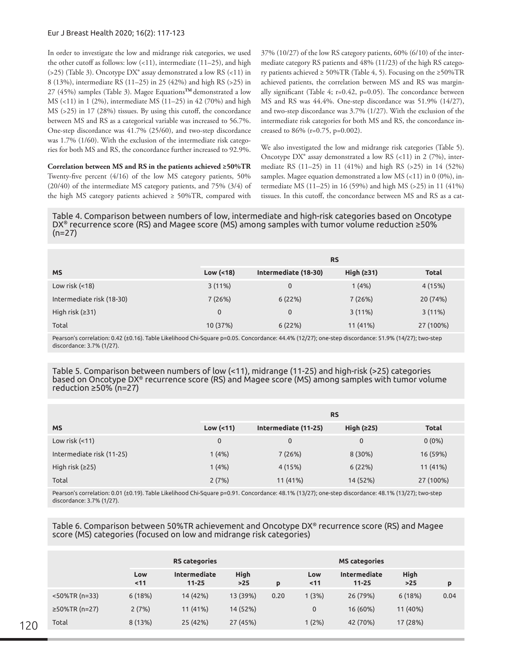## Eur J Breast Health 2020; 16(2): 117-123

In order to investigate the low and midrange risk categories, we used the other cutoff as follows: low  $(<11$ ), intermediate  $(11–25)$ , and high  $(525)$  (Table 3). Oncotype DX<sup>®</sup> assay demonstrated a low RS  $(<11)$  in 8 (13%), intermediate RS (11–25) in 25 (42%) and high RS (>25) in 27 (45%) samples (Table 3). Magee Equations**TM** demonstrated a low MS (<11) in 1 (2%), intermediate MS (11–25) in 42 (70%) and high MS (>25) in 17 (28%) tissues. By using this cutoff, the concordance between MS and RS as a categorical variable was increased to 56.7%. One-step discordance was 41.7% (25/60), and two-step discordance was 1.7% (1/60). With the exclusion of the intermediate risk categories for both MS and RS, the concordance further increased to 92.9%.

**Correlation between MS and RS in the patients achieved ≥50%TR** Twenty-five percent (4/16) of the low MS category patients, 50% (20/40) of the intermediate MS category patients, and 75% (3/4) of the high MS category patients achieved  $\geq 50\%$ TR, compared with

37% (10/27) of the low RS category patients, 60% (6/10) of the intermediate category RS patients and 48% (11/23) of the high RS category patients achieved  $\geq 50\%$ TR (Table 4, 5). Focusing on the  $\geq 50\%$ TR achieved patients, the correlation between MS and RS was marginally significant (Table 4; r=0.42, p=0.05). The concordance between MS and RS was 44.4%. One-step discordance was 51.9% (14/27), and two-step discordance was 3.7% (1/27). With the exclusion of the intermediate risk categories for both MS and RS, the concordance increased to 86% (r=0.75, p=0.002).

We also investigated the low and midrange risk categories (Table 5). Oncotype  $DX^{\circ}$  assay demonstrated a low RS (<11) in 2 (7%), intermediate RS (11–25) in 11 (41%) and high RS (>25) in 14 (52%) samples. Magee equation demonstrated a low MS (<11) in 0 (0%), intermediate MS (11–25) in 16 (59%) and high MS (>25) in 11 (41%) tissues. In this cutoff, the concordance between MS and RS as a cat-

Table 4. Comparison between numbers of low, intermediate and high-risk categories based on Oncotype DX® recurrence score (RS) and Magee score (MS) among samples with tumor volume reduction ≥50%  $(n=27)$ 

|                           | <b>RS</b>     |                      |              |              |  |
|---------------------------|---------------|----------------------|--------------|--------------|--|
| <b>MS</b>                 | Low $( < 18)$ | Intermediate (18-30) | High $(231)$ | <b>Total</b> |  |
| Low risk $($ < 18)        | 3(11%)        | $\mathbf 0$          | 1(4%)        | 4 (15%)      |  |
| Intermediate risk (18-30) | 7(26%)        | 6(22%)               | 7(26%)       | 20 (74%)     |  |
| High risk $(231)$         | $\mathbf{0}$  | $\mathbf 0$          | 3(11%)       | 3(11%)       |  |
| Total                     | 10 (37%)      | 6(22%)               | 11 (41%)     | 27 (100%)    |  |

Pearson's correlation: 0.42 (±0.16). Table Likelihood Chi-Square p=0.05. Concordance: 44.4% (12/27); one-step discordance: 51.9% (14/27); two-step discordance: 3.7% (1/27).

Table 5. Comparison between numbers of low (<11), midrange (11-25) and high-risk (>25) categories based on Oncotype DX® recurrence score (RS) and Magee score (MS) among samples with tumor volume reduction ≥50% (n=27)

|                           | <b>RS</b>       |                      |              |              |  |  |
|---------------------------|-----------------|----------------------|--------------|--------------|--|--|
| <b>MS</b>                 | Low $($ <11 $)$ | Intermediate (11-25) | High $(225)$ | <b>Total</b> |  |  |
| Low risk $($ < 11)        | $\mathbf{0}$    | $\mathbf 0$          | 0            | $0(0\%)$     |  |  |
| Intermediate risk (11-25) | 1(4%)           | 7(26%)               | 8 (30%)      | 16 (59%)     |  |  |
| High risk $(225)$         | 1(4%)           | 4 (15%)              | 6(22%)       | 11 (41%)     |  |  |
| Total                     | 2(7%)           | 11 (41%)             | 14 (52%)     | 27 (100%)    |  |  |

Pearson's correlation: 0.01 (±0.19). Table Likelihood Chi-Square p=0.91. Concordance: 48.1% (13/27); one-step discordance: 48.1% (13/27); two-step discordance: 3.7% (1/27).

Table 6. Comparison between 50%TR achievement and Oncotype DX® recurrence score (RS) and Magee score (MS) categories (focused on low and midrange risk categories)

|                  |           | <b>RS</b> categories      |                    |      | <b>MS categories</b> |                           |                    |      |
|------------------|-----------|---------------------------|--------------------|------|----------------------|---------------------------|--------------------|------|
|                  | Low<br>11 | Intermediate<br>$11 - 25$ | <b>High</b><br>>25 | p    | Low<br>11            | Intermediate<br>$11 - 25$ | <b>High</b><br>>25 | p    |
| $<$ 50%TR (n=33) | 6(18%)    | 14 (42%)                  | 13 (39%)           | 0.20 | 1(3%)                | 26 (79%)                  | 6(18%)             | 0.04 |
| $≥50%TR(n=27)$   | 2(7%)     | 11 (41%)                  | 14 (52%)           |      | 0                    | 16 (60%)                  | 11 (40%)           |      |
| Total            | 8(13%)    | 25 (42%)                  | 27 (45%)           |      | 1(2%)                | 42 (70%)                  | 17 (28%)           |      |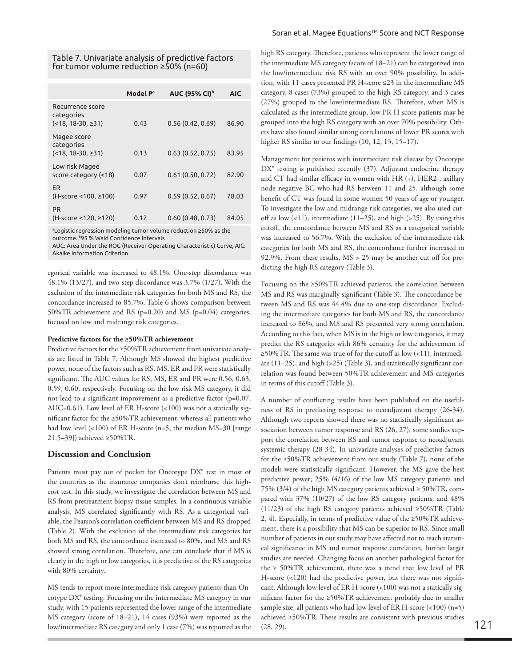Table 7. Univariate analysis of predictive factors for tumor volume reduction ≥50% (n=60)

|                                                            | Model P <sup>a</sup> | <b>AUC (95% CI)</b> <sup>b</sup> | <b>AIC</b> |
|------------------------------------------------------------|----------------------|----------------------------------|------------|
| Recurrence score<br>categories<br>$($ < 18, 18 ⋅ 30, ≥ 31) | 0.43                 | 0.56(0.42, 0.69)                 | 86.90      |
| Magee score<br>categories<br>$($ < 18, 18 ⋅ 30, ≥ 31)      | 0.13                 | 0.63(0.52, 0.75)                 | 83.95      |
| Low risk Magee<br>score category (<18)                     | 0.07                 | 0.61(0.50, 0.72)                 | 82.90      |
| <b>ER</b><br>(H-score <100, ≥100)                          | 0.97                 | 0.59(0.52, 0.67)                 | 78.03      |
| <b>PR</b><br>(H-score <120, ≥120)                          | 0.12                 | 0.60(0.48, 0.73)                 | 84.05      |

ªLogistic regression modeling tumor volume reduction ≥50% as the outcome. <sup>b</sup>95 % Wald Confidence Intervals

AUC: Area Under the ROC (Receiver Operating Characteristic) Curve, AIC: Akaike Information Criterion

egorical variable was increased to 48.1%. One-step discordance was 48.1% (13/27), and two-step discordance was 3.7% (1/27). With the exclusion of the intermediate risk categories for both MS and RS, the concordance increased to 85.7%. Table 6 shows comparison between 50%TR achievement and RS (p=0.20) and MS (p=0.04) categories, focused on low and midrange risk categories.

# **Predictive factors for the ≥50%TR achievement**

Predictive factors for the ≥50%TR achievement from univariate analysis are listed in Table 7. Although MS showed the highest predictive power, none of the factors such as RS, MS, ER and PR were statistically significant. The AUC values for RS, MS, ER and PR were 0.56, 0.63, 0.59, 0.60, respectively. Focusing on the low risk MS category, it did not lead to a significant improvement as a predictive factor (p=0.07, AUC=0.61). Low level of ER H-score (<100) was not a statically significant factor for the ≥50%TR achievement, whereas all patients who had low level (<100) of ER H-score (n=5, the median MS=30 [range 21.5–39]) achieved ≥50%TR.

# **Discussion and Conclusion**

Patients must pay out of pocket for Oncotype DX® test in most of the countries as the insurance companies don't reimburse this highcost test. In this study, we investigate the correlation between MS and RS from pretreatment biopsy tissue samples. In a continuous variable analysis, MS correlated significantly with RS. As a categorical variable, the Pearson's correlation coefficient between MS and RS dropped (Table 2). With the exclusion of the intermediate risk categories for both MS and RS, the concordance increased to 80%, and MS and RS showed strong correlation. Therefore, one can conclude that if MS is clearly in the high or low categories, it is predictive of the RS categories with 80% certainty.

MS tends to report more intermediate risk category patients than Oncotype DX® testing. Focusing on the intermediate MS category in our study, with 15 patients represented the lower range of the intermediate MS category (score of 18–21), 14 cases (93%) were reported as the low/intermediate RS category and only 1 case (7%) was reported as the high RS category. Therefore, patients who represent the lower range of the intermediate MS category (score of 18–21) can be categorized into the low/intermediate risk RS with an over 90% possibility. In addition, with 11 cases presented PR H-score ≤23 in the intermediate MS category, 8 cases (73%) grouped to the high RS category, and 3 cases (27%) grouped to the low/intermediate RS. Therefore, when MS is calculated as the intermediate group, low PR H-score patients may be grouped into the high RS category with an over 70% possibility. Others have also found similar strong correlations of lower PR scores with higher RS similar to our findings (10, 12, 13, 15−17).

Management for patients with intermediate risk disease by Oncotype DX<sup>®</sup> testing is published recently (37). Adjuvant endocrine therapy and CT had similar efficacy in women with HR (+), HER2-, axillary node negative BC who had RS between 11 and 25, although some benefit of CT was found in some women 50 years of age or younger. To investigate the low and midrange risk categories, we also used cutoff as low  $(11)$ , intermediate  $(11–25)$ , and high  $(>25)$ . By using this cutoff, the concordance between MS and RS as a categorical variable was increased to 56.7%. With the exclusion of the intermediate risk categories for both MS and RS, the concordance further increased to 92.9%. From these results, MS > 25 may be another cut off for predicting the high RS category (Table 3).

Focusing on the ≥50%TR achieved patients, the correlation between MS and RS was marginally significant (Table 3). The concordance between MS and RS was 44.4% due to one-step discordance. Excluding the intermediate categories for both MS and RS, the concordance increased to 86%, and MS and RS presented very strong correlation. According to this fact, when MS is in the high or low categories, it may predict the RS categories with 86% certainty for the achievement of ≥50%TR. The same was true of for the cutoff as low (<11), intermediate (11–25), and high (>25) (Table 3), and statistically significant correlation was found between 50%TR achievement and MS categories in terms of this cutoff (Table 3).

A number of conflicting results have been published on the usefulness of RS in predicting response to neoadjuvant therapy (26-34). Although two reports showed there was no statistically significant association between tumor response and RS (26, 27), some studies support the correlation between RS and tumor response to neoadjuvant systemic therapy (28-34). In univariate analyses of predictive factors for the ≥50%TR achievement from our study (Table 7), none of the models were statistically significant. However, the MS gave the best predictive power; 25% (4/16) of the low MS category patients and 75% (3/4) of the high MS category patients achieved  $\geq$  50%TR, compared with 37% (10/27) of the low RS category patients, and 48% (11/23) of the high RS category patients achieved ≥50%TR (Table 2, 4). Especially, in terms of predictive value of the ≥50%TR achievement, there is a possibility that MS can be superior to RS. Since small number of patients in our study may have affected not to reach statistical significance in MS and tumor response correlation, further larger studies are needed. Changing focus on another pathological factor for the  $\geq$  50%TR achievement, there was a trend that low level of PR H-score (<120) had the predictive power, but there was not significant. Although low level of ER H-score (<100) was not a statically significant factor for the ≥50%TR achievement probably due to smaller sample size, all patients who had low level of ER H-score (<100) (n=5) achieved ≥50%TR. These results are consistent with previous studies (28, 29).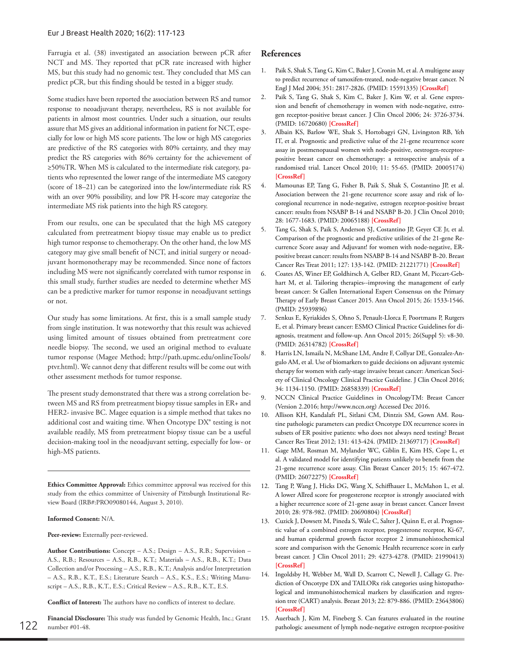Farrugia et al. (38) investigated an association between pCR after NCT and MS. They reported that pCR rate increased with higher MS, but this study had no genomic test. They concluded that MS can predict pCR, but this finding should be tested in a bigger study.

Some studies have been reported the association between RS and tumor response to neoadjuvant therapy, nevertheless, RS is not available for patients in almost most countries. Under such a situation, our results assure that MS gives an additional information in patient for NCT, especially for low or high MS score patients. The low or high MS categories are predictive of the RS categories with 80% certainty, and they may predict the RS categories with 86% certainty for the achievement of ≥50%TR. When MS is calculated to the intermediate risk category, patients who represented the lower range of the intermediate MS category (score of 18–21) can be categorized into the low/intermediate risk RS with an over 90% possibility, and low PR H-score may categorize the intermediate MS risk patients into the high RS category.

From our results, one can be speculated that the high MS category calculated from pretreatment biopsy tissue may enable us to predict high tumor response to chemotherapy. On the other hand, the low MS category may give small benefit of NCT, and initial surgery or neoadjuvant hormonotherapy may be recommended. Since none of factors including MS were not significantly correlated with tumor response in this small study, further studies are needed to determine whether MS can be a predictive marker for tumor response in neoadjuvant settings or not.

Our study has some limitations. At first, this is a small sample study from single institution. It was noteworthy that this result was achieved using limited amount of tissues obtained from pretreatment core needle biopsy. The second, we used an original method to evaluate tumor response (Magee Method; http://path.upmc.edu/onlineTools/ ptvr.html). We cannot deny that different results will be come out with other assessment methods for tumor response.

The present study demonstrated that there was a strong correlation between MS and RS from pretreatment biopsy tissue samples in ER+ and HER2- invasive BC. Magee equation is a simple method that takes no additional cost and waiting time. When Oncotype DX® testing is not available readily, MS from pretreatment biopsy tissue can be a useful decision-making tool in the neoadjuvant setting, especially for low- or high-MS patients.

**Ethics Committee Approval:** Ethics committee approval was received for this study from the ethics committee of University of Pittsburgh Institutional Review Board (IRB#:PRO09080144, August 3, 2010).

#### **Informed Consent:** N/A.

#### **Peer-review:** Externally peer-reviewed.

**Author Contributions:** Concept – A.S.; Design – A.S., R.B.; Supervision – A.S., R.B.; Resources – A.S., R.B., K.T.; Materials – A.S., R.B., K.T.; Data Collection and/or Processing – A.S., R.B., K.T.; Analysis and/or Interpretation – A.S., R.B., K.T., E.S.; Literature Search – A.S., K.S., E.S.; Writing Manuscript – A.S., R.B., K.T., E.S.; Critical Review – A.S., R.B., K.T., E.S.

**Conflict of Interest:** The authors have no conflicts of interest to declare.

**Financial Disclosure:** This study was funded by Genomic Health, Inc.; Grant number #01-48. 122 pathologic assessment of lymph node-negative estrogen receptor-positive

## **References**

- 1. Paik S, Shak S, Tang G, Kim C, Baker J, Cronin M, et al. A multigene assay to predict recurrence of tamoxifen-treated, node-negative breast cancer. N Engl J Med 2004; 351: 2817-2826. (PMID: 15591335) **[\[CrossRef\]](https://doi.org/10.1056/NEJMoa041588)**
- 2. Paik S, Tang G, Shak S, Kim C, Baker J, Kim W, et al. Gene expression and benefit of chemotherapy in women with node-negative, estrogen receptor-positive breast cancer. J Clin Oncol 2006; 24: 3726-3734. (PMID: 16720680) **[\[CrossRef](https://doi.org/10.1200/JCO.2005.04.7985)]**
- 3. Albain KS, Barlow WE, Shak S, Hortobagyi GN, Livingston RB, Yeh IT, et al. Prognostic and predictive value of the 21-gene recurrence score assay in postmenopausal women with node-positive, oestrogen-receptorpositive breast cancer on chemotherapy: a retrospective analysis of a randomised trial. Lancet Oncol 2010; 11: 55-65. (PMID: 20005174) **[\[CrossRef\]](https://doi.org/10.1016/S1470-2045(09)70314-6)**
- 4. Mamounas EP, Tang G, Fisher B, Paik S, Shak S, Costantino JP, et al. Association between the 21-gene recurrence score assay and risk of locoregional recurrence in node-negative, estrogen receptor-positive breast cancer: results from NSABP B-14 and NSABP B-20. J Clin Oncol 2010; 28: 1677-1683. (PMID: 20065188) **[[CrossRef\]](https://doi.org/10.1200/JCO.2009.23.7610)**
- 5. Tang G, Shak S, Paik S, Anderson SJ, Costantino JP, Geyer CE Jr, et al. Comparison of the prognostic and predictive utilities of the 21-gene Recurrence Score assay and Adjuvant! for women with node-negative, ERpositive breast cancer: results from NSABP B-14 and NSABP B-20. Breast Cancer Res Treat 2011; 127: 133-142. (PMID: 21221771) **[[CrossRef](https://doi.org/10.1007/s10549-010-1331-z)]**
- 6. Coates AS, Winer EP, Goldhirsch A, Gelber RD, Gnant M, Piccart-Gebhart M, et al. Tailoring therapies--improving the management of early breast cancer: St Gallen International Expert Consensus on the Primary Therapy of Early Breast Cancer 2015. Ann Oncol 2015; 26: 1533-1546. (PMID: 25939896)
- 7. Senkus E, Kyriakides S, Ohno S, Penault-Llorca F, Poortmans P, Rutgers E, et al. Primary breast cancer: ESMO Clinical Practice Guidelines for diagnosis, treatment and follow-up. Ann Oncol 2015; 26(Suppl 5): v8-30. (PMID: 26314782) **[\[CrossRef](https://doi.org/10.1093/annonc/mdv298)]**
- 8. Harris LN, Ismaila N, McShane LM, Andre F, Collyar DE, Gonzalez-Angulo AM, et al. Use of biomarkers to guide decisions on adjuvant systemic therapy for women with early-stage invasive breast cancer: American Society of Clinical Oncology Clinical Practice Guideline. J Clin Oncol 2016; 34: 1134-1150. (PMID: 26858339) **[[CrossRef\]](https://doi.org/10.1200/JCO.2015.65.2289)**
- 9. NCCN Clinical Practice Guidelines in OncologyTM: Breast Cancer (Version 2.2016; http://www.nccn.org) Accessed Dec 2016.
- 10. Allison KH, Kandalaft PL, Sitlani CM, Dintzis SM, Gown AM. Routine pathologic parameters can predict Oncotype DX recurrence scores in subsets of ER positive patients: who does not always need testing? Breast Cancer Res Treat 2012; 131: 413-424. (PMID: 21369717) **[[CrossRef](https://doi.org/10.1007/s10549-011-1416-3)]**
- 11. Gage MM, Rosman M, Mylander WC, Giblin E, Kim HS, Cope L, et al. A validated model for identifying patients unlikely to benefit from the 21-gene recurrence score assay. Clin Breast Cancer 2015; 15: 467-472. (PMID: 26072275) **[\[CrossRef](https://doi.org/10.1016/j.clbc.2015.04.006)]**
- 12. Tang P, Wang J, Hicks DG, Wang X, Schiffhauer L, McMahon L, et al. A lower Allred score for progesterone receptor is strongly associated with a higher recurrence score of 21-gene assay in breast cancer. Cancer Invest 2010; 28: 978-982. (PMID: 20690804) **[[CrossRef\]](https://doi.org/10.3109/07357907.2010.496754)**
- 13. Cuzick J, Dowsett M, Pineda S, Wale C, Salter J, Quinn E, et al. Prognostic value of a combined estrogen receptor, progesterone receptor, Ki-67, and human epidermal growth factor receptor 2 immunohistochemical score and comparison with the Genomic Health recurrence score in early breast cancer. J Clin Oncol 2011; 29: 4273-4278. (PMID: 21990413) **[\[CrossRef\]](https://doi.org/10.1200/JCO.2010.31.2835)**
- 14. Ingoldsby H, Webber M, Wall D, Scarrott C, Newell J, Callagy G. Prediction of Oncotype DX and TAILORx risk categories using histopathological and immunohistochemical markers by classification and regression tree (CART) analysis. Breast 2013; 22: 879-886. (PMID: 23643806) **[\[CrossRef\]](https://doi.org/10.1016/j.breast.2013.04.008)**
- 15. Auerbach J, Kim M, Fineberg S. Can features evaluated in the routine